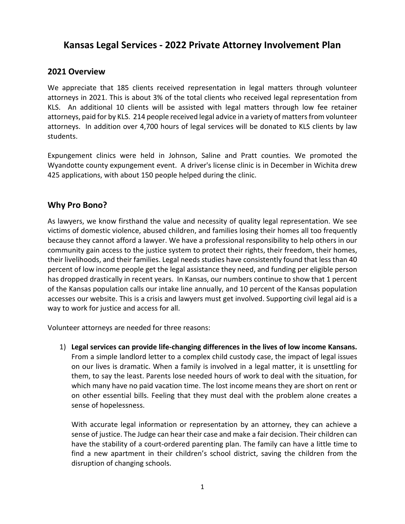# **Kansas Legal Services - 2022 Private Attorney Involvement Plan**

### **2021 Overview**

We appreciate that 185 clients received representation in legal matters through volunteer attorneys in 2021. This is about 3% of the total clients who received legal representation from KLS. An additional 10 clients will be assisted with legal matters through low fee retainer attorneys, paid for by KLS. 214 people received legal advice in a variety of matters from volunteer attorneys. In addition over 4,700 hours of legal services will be donated to KLS clients by law students.

Expungement clinics were held in Johnson, Saline and Pratt counties. We promoted the Wyandotte county expungement event. A driver's license clinic is in December in Wichita drew 425 applications, with about 150 people helped during the clinic.

### **Why Pro Bono?**

As lawyers, we know firsthand the value and necessity of quality legal representation. We see victims of domestic violence, abused children, and families losing their homes all too frequently because they cannot afford a lawyer. We have a professional responsibility to help others in our community gain access to the justice system to protect their rights, their freedom, their homes, their livelihoods, and their families. Legal needs studies have consistently found that less than 40 percent of low income people get the legal assistance they need, and funding per eligible person has dropped drastically in recent years. In Kansas, our numbers continue to show that 1 percent of the Kansas population calls our intake line annually, and 10 percent of the Kansas population accesses our website. This is a crisis and lawyers must get involved. Supporting civil legal aid is a way to work for justice and access for all.

Volunteer attorneys are needed for three reasons:

1) **Legal services can provide life-changing differences in the lives of low income Kansans.** From a simple landlord letter to a complex child custody case, the impact of legal issues on our lives is dramatic. When a family is involved in a legal matter, it is unsettling for them, to say the least. Parents lose needed hours of work to deal with the situation, for which many have no paid vacation time. The lost income means they are short on rent or on other essential bills. Feeling that they must deal with the problem alone creates a sense of hopelessness.

With accurate legal information or representation by an attorney, they can achieve a sense of justice. The Judge can hear their case and make a fair decision. Their children can have the stability of a court-ordered parenting plan. The family can have a little time to find a new apartment in their children's school district, saving the children from the disruption of changing schools.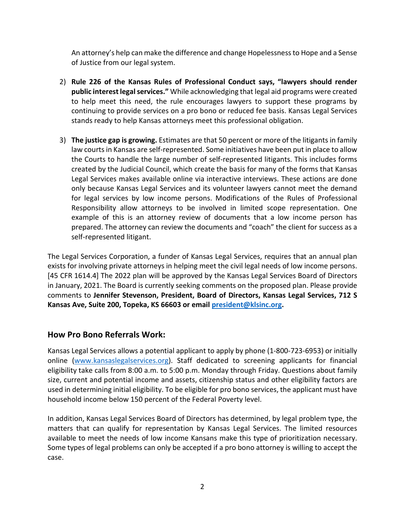An attorney's help can make the difference and change Hopelessness to Hope and a Sense of Justice from our legal system.

- 2) **Rule 226 of the Kansas Rules of Professional Conduct says, "lawyers should render public interest legal services."** While acknowledging that legal aid programs were created to help meet this need, the rule encourages lawyers to support these programs by continuing to provide services on a pro bono or reduced fee basis. Kansas Legal Services stands ready to help Kansas attorneys meet this professional obligation.
- 3) **The justice gap is growing.** Estimates are that 50 percent or more of the litigants in family law courts in Kansas are self-represented. Some initiatives have been put in place to allow the Courts to handle the large number of self-represented litigants. This includes forms created by the Judicial Council, which create the basis for many of the forms that Kansas Legal Services makes available online via interactive interviews. These actions are done only because Kansas Legal Services and its volunteer lawyers cannot meet the demand for legal services by low income persons. Modifications of the Rules of Professional Responsibility allow attorneys to be involved in limited scope representation. One example of this is an attorney review of documents that a low income person has prepared. The attorney can review the documents and "coach" the client for success as a self-represented litigant.

The Legal Services Corporation, a funder of Kansas Legal Services, requires that an annual plan exists for involving private attorneys in helping meet the civil legal needs of low income persons. [45 CFR 1614.4] The 2022 plan will be approved by the Kansas Legal Services Board of Directors in January, 2021. The Board is currently seeking comments on the proposed plan. Please provide comments to **Jennifer Stevenson, President, Board of Directors, Kansas Legal Services, 712 S Kansas Ave, Suite 200, Topeka, KS 66603 or email [president@klsinc.org.](mailto:president@klsinc.org)**

## **How Pro Bono Referrals Work:**

Kansas Legal Services allows a potential applicant to apply by phone (1-800-723-6953) or initially online [\(www.kansaslegalservices.org\)](http://www.kansaslegalservices.org/). Staff dedicated to screening applicants for financial eligibility take calls from 8:00 a.m. to 5:00 p.m. Monday through Friday. Questions about family size, current and potential income and assets, citizenship status and other eligibility factors are used in determining initial eligibility. To be eligible for pro bono services, the applicant must have household income below 150 percent of the Federal Poverty level.

In addition, Kansas Legal Services Board of Directors has determined, by legal problem type, the matters that can qualify for representation by Kansas Legal Services. The limited resources available to meet the needs of low income Kansans make this type of prioritization necessary. Some types of legal problems can only be accepted if a pro bono attorney is willing to accept the case.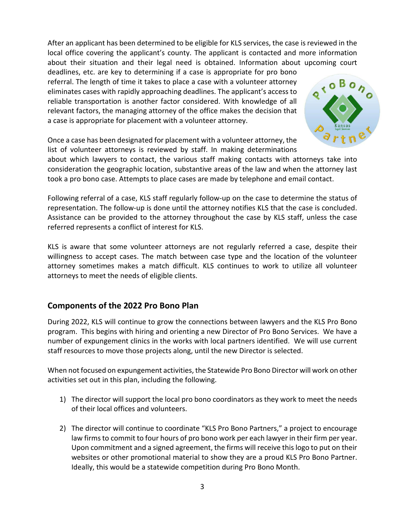After an applicant has been determined to be eligible for KLS services, the case is reviewed in the local office covering the applicant's county. The applicant is contacted and more information about their situation and their legal need is obtained. Information about upcoming court

deadlines, etc. are key to determining if a case is appropriate for pro bono referral. The length of time it takes to place a case with a volunteer attorney eliminates cases with rapidly approaching deadlines. The applicant's access to reliable transportation is another factor considered. With knowledge of all relevant factors, the managing attorney of the office makes the decision that a case is appropriate for placement with a volunteer attorney.



Once a case has been designated for placement with a volunteer attorney, the list of volunteer attorneys is reviewed by staff. In making determinations

about which lawyers to contact, the various staff making contacts with attorneys take into consideration the geographic location, substantive areas of the law and when the attorney last took a pro bono case. Attempts to place cases are made by telephone and email contact.

Following referral of a case, KLS staff regularly follow-up on the case to determine the status of representation. The follow-up is done until the attorney notifies KLS that the case is concluded. Assistance can be provided to the attorney throughout the case by KLS staff, unless the case referred represents a conflict of interest for KLS.

KLS is aware that some volunteer attorneys are not regularly referred a case, despite their willingness to accept cases. The match between case type and the location of the volunteer attorney sometimes makes a match difficult. KLS continues to work to utilize all volunteer attorneys to meet the needs of eligible clients.

## **Components of the 2022 Pro Bono Plan**

During 2022, KLS will continue to grow the connections between lawyers and the KLS Pro Bono program. This begins with hiring and orienting a new Director of Pro Bono Services. We have a number of expungement clinics in the works with local partners identified. We will use current staff resources to move those projects along, until the new Director is selected.

When not focused on expungement activities, the Statewide Pro Bono Director will work on other activities set out in this plan, including the following.

- 1) The director will support the local pro bono coordinators as they work to meet the needs of their local offices and volunteers.
- 2) The director will continue to coordinate "KLS Pro Bono Partners," a project to encourage law firms to commit to four hours of pro bono work per each lawyer in their firm per year. Upon commitment and a signed agreement, the firms will receive this logo to put on their websites or other promotional material to show they are a proud KLS Pro Bono Partner. Ideally, this would be a statewide competition during Pro Bono Month.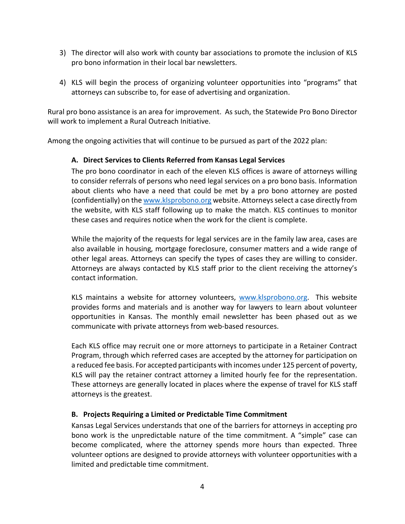- 3) The director will also work with county bar associations to promote the inclusion of KLS pro bono information in their local bar newsletters.
- 4) KLS will begin the process of organizing volunteer opportunities into "programs" that attorneys can subscribe to, for ease of advertising and organization.

Rural pro bono assistance is an area for improvement. As such, the Statewide Pro Bono Director will work to implement a Rural Outreach Initiative.

Among the ongoing activities that will continue to be pursued as part of the 2022 plan:

#### **A. Direct Services to Clients Referred from Kansas Legal Services**

The pro bono coordinator in each of the eleven KLS offices is aware of attorneys willing to consider referrals of persons who need legal services on a pro bono basis. Information about clients who have a need that could be met by a pro bono attorney are posted (confidentially) on the [www.klsprobono.org](http://www.klsprobono.org/) website. Attorneys select a case directly from the website, with KLS staff following up to make the match. KLS continues to monitor these cases and requires notice when the work for the client is complete.

While the majority of the requests for legal services are in the family law area, cases are also available in housing, mortgage foreclosure, consumer matters and a wide range of other legal areas. Attorneys can specify the types of cases they are willing to consider. Attorneys are always contacted by KLS staff prior to the client receiving the attorney's contact information.

KLS maintains a website for attorney volunteers, [www.klsprobono.org.](http://www.klsprobono.org/) This website provides forms and materials and is another way for lawyers to learn about volunteer opportunities in Kansas. The monthly email newsletter has been phased out as we communicate with private attorneys from web-based resources.

Each KLS office may recruit one or more attorneys to participate in a Retainer Contract Program, through which referred cases are accepted by the attorney for participation on a reduced fee basis. For accepted participants with incomes under 125 percent of poverty, KLS will pay the retainer contract attorney a limited hourly fee for the representation. These attorneys are generally located in places where the expense of travel for KLS staff attorneys is the greatest.

#### **B. Projects Requiring a Limited or Predictable Time Commitment**

Kansas Legal Services understands that one of the barriers for attorneys in accepting pro bono work is the unpredictable nature of the time commitment. A "simple" case can become complicated, where the attorney spends more hours than expected. Three volunteer options are designed to provide attorneys with volunteer opportunities with a limited and predictable time commitment.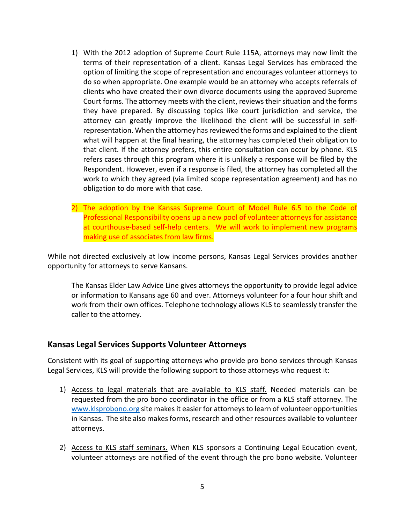- 1) With the 2012 adoption of Supreme Court Rule 115A, attorneys may now limit the terms of their representation of a client. Kansas Legal Services has embraced the option of limiting the scope of representation and encourages volunteer attorneys to do so when appropriate. One example would be an attorney who accepts referrals of clients who have created their own divorce documents using the approved Supreme Court forms. The attorney meets with the client, reviews their situation and the forms they have prepared. By discussing topics like court jurisdiction and service, the attorney can greatly improve the likelihood the client will be successful in selfrepresentation. When the attorney has reviewed the forms and explained to the client what will happen at the final hearing, the attorney has completed their obligation to that client. If the attorney prefers, this entire consultation can occur by phone. KLS refers cases through this program where it is unlikely a response will be filed by the Respondent. However, even if a response is filed, the attorney has completed all the work to which they agreed (via limited scope representation agreement) and has no obligation to do more with that case.
- 2) The adoption by the Kansas Supreme Court of Model Rule 6.5 to the Code of Professional Responsibility opens up a new pool of volunteer attorneys for assistance at courthouse-based self-help centers. We will work to implement new programs making use of associates from law firms.

While not directed exclusively at low income persons, Kansas Legal Services provides another opportunity for attorneys to serve Kansans.

The Kansas Elder Law Advice Line gives attorneys the opportunity to provide legal advice or information to Kansans age 60 and over. Attorneys volunteer for a four hour shift and work from their own offices. Telephone technology allows KLS to seamlessly transfer the caller to the attorney.

#### **Kansas Legal Services Supports Volunteer Attorneys**

Consistent with its goal of supporting attorneys who provide pro bono services through Kansas Legal Services, KLS will provide the following support to those attorneys who request it:

- 1) Access to legal materials that are available to KLS staff. Needed materials can be requested from the pro bono coordinator in the office or from a KLS staff attorney. The [www.klsprobono.org](http://www.klsprobono.org/) site makes it easier for attorneys to learn of volunteer opportunities in Kansas. The site also makes forms, research and other resources available to volunteer attorneys.
- 2) Access to KLS staff seminars. When KLS sponsors a Continuing Legal Education event, volunteer attorneys are notified of the event through the pro bono website. Volunteer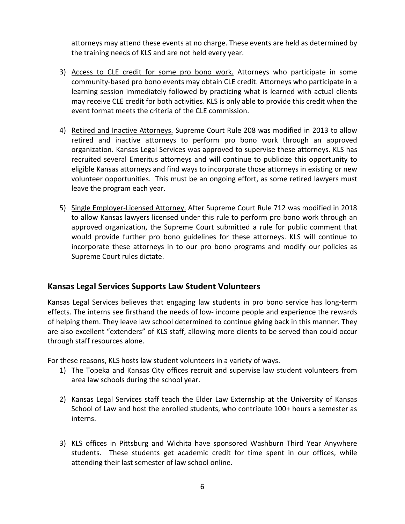attorneys may attend these events at no charge. These events are held as determined by the training needs of KLS and are not held every year.

- 3) Access to CLE credit for some pro bono work. Attorneys who participate in some community-based pro bono events may obtain CLE credit. Attorneys who participate in a learning session immediately followed by practicing what is learned with actual clients may receive CLE credit for both activities. KLS is only able to provide this credit when the event format meets the criteria of the CLE commission.
- 4) Retired and Inactive Attorneys. Supreme Court Rule 208 was modified in 2013 to allow retired and inactive attorneys to perform pro bono work through an approved organization. Kansas Legal Services was approved to supervise these attorneys. KLS has recruited several Emeritus attorneys and will continue to publicize this opportunity to eligible Kansas attorneys and find ways to incorporate those attorneys in existing or new volunteer opportunities. This must be an ongoing effort, as some retired lawyers must leave the program each year.
- 5) Single Employer-Licensed Attorney. After Supreme Court Rule 712 was modified in 2018 to allow Kansas lawyers licensed under this rule to perform pro bono work through an approved organization, the Supreme Court submitted a rule for public comment that would provide further pro bono guidelines for these attorneys. KLS will continue to incorporate these attorneys in to our pro bono programs and modify our policies as Supreme Court rules dictate.

## **Kansas Legal Services Supports Law Student Volunteers**

Kansas Legal Services believes that engaging law students in pro bono service has long-term effects. The interns see firsthand the needs of low- income people and experience the rewards of helping them. They leave law school determined to continue giving back in this manner. They are also excellent "extenders" of KLS staff, allowing more clients to be served than could occur through staff resources alone.

For these reasons, KLS hosts law student volunteers in a variety of ways.

- 1) The Topeka and Kansas City offices recruit and supervise law student volunteers from area law schools during the school year.
- 2) Kansas Legal Services staff teach the Elder Law Externship at the University of Kansas School of Law and host the enrolled students, who contribute 100+ hours a semester as interns.
- 3) KLS offices in Pittsburg and Wichita have sponsored Washburn Third Year Anywhere students. These students get academic credit for time spent in our offices, while attending their last semester of law school online.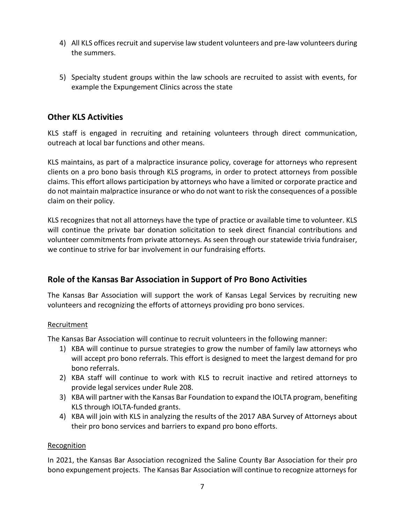- 4) All KLS offices recruit and supervise law student volunteers and pre-law volunteers during the summers.
- 5) Specialty student groups within the law schools are recruited to assist with events, for example the Expungement Clinics across the state

## **Other KLS Activities**

KLS staff is engaged in recruiting and retaining volunteers through direct communication, outreach at local bar functions and other means.

KLS maintains, as part of a malpractice insurance policy, coverage for attorneys who represent clients on a pro bono basis through KLS programs, in order to protect attorneys from possible claims. This effort allows participation by attorneys who have a limited or corporate practice and do not maintain malpractice insurance or who do not want to risk the consequences of a possible claim on their policy.

KLS recognizes that not all attorneys have the type of practice or available time to volunteer. KLS will continue the private bar donation solicitation to seek direct financial contributions and volunteer commitments from private attorneys. As seen through our statewide trivia fundraiser, we continue to strive for bar involvement in our fundraising efforts.

## **Role of the Kansas Bar Association in Support of Pro Bono Activities**

The Kansas Bar Association will support the work of Kansas Legal Services by recruiting new volunteers and recognizing the efforts of attorneys providing pro bono services.

#### Recruitment

The Kansas Bar Association will continue to recruit volunteers in the following manner:

- 1) KBA will continue to pursue strategies to grow the number of family law attorneys who will accept pro bono referrals. This effort is designed to meet the largest demand for pro bono referrals.
- 2) KBA staff will continue to work with KLS to recruit inactive and retired attorneys to provide legal services under Rule 208.
- 3) KBA will partner with the Kansas Bar Foundation to expand the IOLTA program, benefiting KLS through IOLTA-funded grants.
- 4) KBA will join with KLS in analyzing the results of the 2017 ABA Survey of Attorneys about their pro bono services and barriers to expand pro bono efforts.

#### Recognition

In 2021, the Kansas Bar Association recognized the Saline County Bar Association for their pro bono expungement projects. The Kansas Bar Association will continue to recognize attorneys for